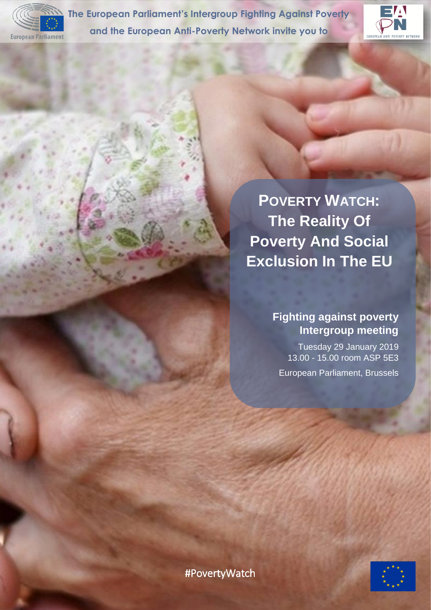

**The European Parliament's Intergroup Fighting Against Poverty and the European Anti-Poverty Network invite you to**



**POVERTY WATCH: The Reality Of Poverty And Social Exclusion In The EU**

## **Fighting against poverty Intergroup meeting**

Tuesday 29 January 2019 13.00 - 15.00 room ASP 5E3 European Parliament, Brussels

#PovertyWatch